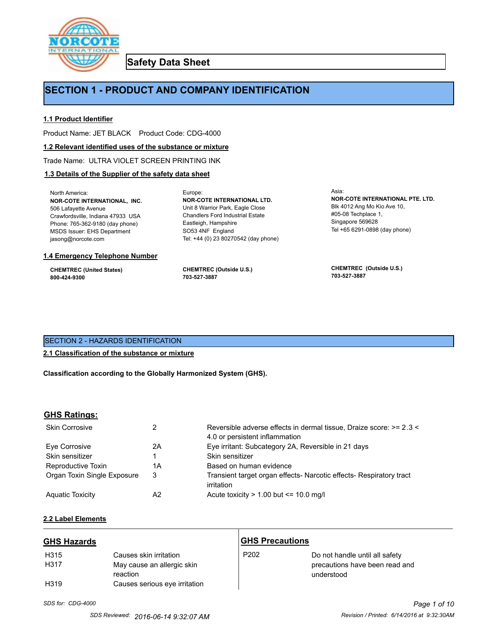

**Safety Data Sheet**

# **SECTION 1 - PRODUCT AND COMPANY IDENTIFICATION**

Europe:

# **1.1 Product Identifier**

Product Name: JET BLACK Product Code: CDG-4000

### **1.2 Relevant identified uses of the substance or mixture**

Trade Name: ULTRA VIOLET SCREEN PRINTING INK

# **1.3 Details of the Supplier of the safety data sheet**

North America: **NOR-COTE INTERNATIONAL, INC.** 506 Lafayette Avenue Crawfordsville, Indiana 47933 USA Phone: 765-362-9180 (day phone) MSDS Issuer: EHS Department jasong@norcote.com

### **1.4 Emergency Telephone Number**

**CHEMTREC (United States) 800-424-9300**

**CHEMTREC (Outside U.S.) 703-527-3887**

Eastleigh, Hampshire SO53 4NF England

**NOR-COTE INTERNATIONAL LTD.** Unit 8 Warrior Park, Eagle Close Chandlers Ford Industrial Estate

Tel: +44 (0) 23 80270542 (day phone)

Asia: **NOR-COTE INTERNATIONAL PTE. LTD.** Blk 4012 Ang Mo Kio Ave 10, #05-08 Techplace 1, Singapore 569628 Tel +65 6291-0898 (day phone)

**CHEMTREC (Outside U.S.) 703-527-3887**

# SECTION 2 - HAZARDS IDENTIFICATION

# **2.1 Classification of the substance or mixture**

**Classification according to the Globally Harmonized System (GHS).**

# **GHS Ratings:**

| <b>Skin Corrosive</b>       |    | Reversible adverse effects in dermal tissue, Draize score: >= 2.3 < |
|-----------------------------|----|---------------------------------------------------------------------|
|                             |    | 4.0 or persistent inflammation                                      |
| Eve Corrosive               | 2Α | Eye irritant: Subcategory 2A, Reversible in 21 days                 |
| Skin sensitizer             |    | Skin sensitizer                                                     |
| Reproductive Toxin          | 1Α | Based on human evidence                                             |
| Organ Toxin Single Exposure | 3  | Transient target organ effects- Narcotic effects- Respiratory tract |
|                             |    | irritation                                                          |
| <b>Aquatic Toxicity</b>     | A2 | Acute toxicity $> 1.00$ but $\leq 10.0$ mg/l                        |

# **2.2 Label Elements**

| <b>GHS Hazards</b> |                                        | <b>GHS Precautions</b> |                                              |
|--------------------|----------------------------------------|------------------------|----------------------------------------------|
| H315               | Causes skin irritation                 | P <sub>202</sub>       | Do not handle until all safety               |
| H317               | May cause an allergic skin<br>reaction |                        | precautions have been read and<br>understood |
| H <sub>319</sub>   | Causes serious eye irritation          |                        |                                              |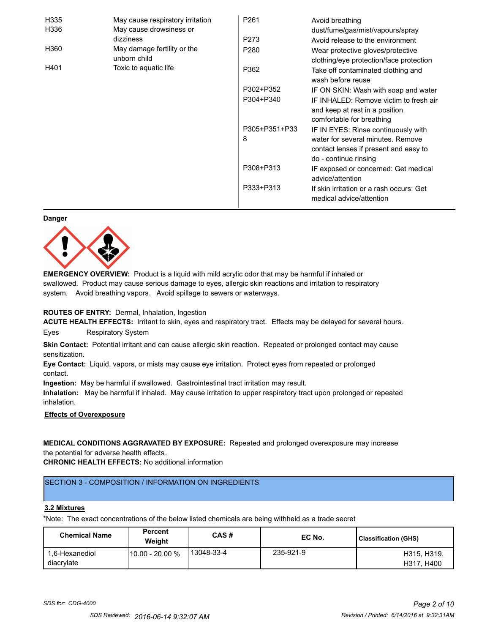| H335                          | May cause respiratory irritation | P261             | Avoid breathing                                                      |
|-------------------------------|----------------------------------|------------------|----------------------------------------------------------------------|
| H336                          | May cause drowsiness or          |                  | dust/fume/gas/mist/vapours/spray                                     |
|                               | dizziness                        | P273             | Avoid release to the environment                                     |
| H360                          | May damage fertility or the      | P <sub>280</sub> | Wear protective gloves/protective                                    |
|                               | unborn child                     |                  | clothing/eye protection/face protection                              |
| H401<br>Toxic to aquatic life |                                  | P362             | Take off contaminated clothing and<br>wash before reuse              |
|                               |                                  | P302+P352        | IF ON SKIN: Wash with soap and water                                 |
|                               |                                  | P304+P340        | IF INHALED: Remove victim to fresh air                               |
|                               |                                  |                  | and keep at rest in a position                                       |
|                               |                                  |                  | comfortable for breathing                                            |
|                               |                                  | P305+P351+P33    | IF IN EYES: Rinse continuously with                                  |
|                               |                                  | 8                | water for several minutes. Remove                                    |
|                               |                                  |                  | contact lenses if present and easy to                                |
|                               |                                  |                  | do - continue rinsing                                                |
|                               |                                  | P308+P313        | IF exposed or concerned: Get medical<br>advice/attention             |
|                               |                                  | P333+P313        | If skin irritation or a rash occurs: Get<br>medical advice/attention |

#### **Danger**



**EMERGENCY OVERVIEW:** Product is a liquid with mild acrylic odor that may be harmful if inhaled or swallowed. Product may cause serious damage to eyes, allergic skin reactions and irritation to respiratory system. Avoid breathing vapors. Avoid spillage to sewers or waterways.

# **ROUTES OF ENTRY:** Dermal, Inhalation, Ingestion

**ACUTE HEALTH EFFECTS:** Irritant to skin, eyes and respiratory tract. Effects may be delayed for several hours. Eyes Respiratory System

**Skin Contact:** Potential irritant and can cause allergic skin reaction. Repeated or prolonged contact may cause sensitization.

**Eye Contact:** Liquid, vapors, or mists may cause eye irritation. Protect eyes from repeated or prolonged contact.

**Ingestion:** May be harmful if swallowed. Gastrointestinal tract irritation may result.

**Inhalation:** May be harmful if inhaled. May cause irritation to upper respiratory tract upon prolonged or repeated inhalation.

# **Effects of Overexposure**

**MEDICAL CONDITIONS AGGRAVATED BY EXPOSURE:** Repeated and prolonged overexposure may increase the potential for adverse health effects.

**CHRONIC HEALTH EFFECTS:** No additional information

# SECTION 3 - COMPOSITION / INFORMATION ON INGREDIENTS

# **3.2 Mixtures**

\*Note: The exact concentrations of the below listed chemicals are being withheld as a trade secret

| <b>Chemical Name</b>         | <b>Percent</b><br>Weiaht | CAS#       | EC No.    | <b>Classification (GHS)</b> |
|------------------------------|--------------------------|------------|-----------|-----------------------------|
| 1.6-Hexanediol<br>diacrylate | 10.00 - 20.00 %          | 13048-33-4 | 235-921-9 | H315, H319.<br>H317, H400   |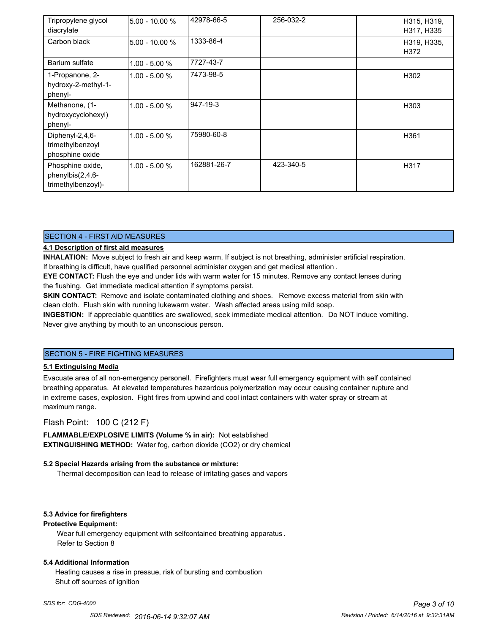| Tripropylene glycol<br>diacrylate                          | 5.00 - 10.00 %   | 42978-66-5  | 256-032-2 | H315, H319,<br>H317, H335 |
|------------------------------------------------------------|------------------|-------------|-----------|---------------------------|
| Carbon black                                               | $5.00 - 10.00 %$ | 1333-86-4   |           | H319, H335,<br>H372       |
| Barium sulfate                                             | $1.00 - 5.00 %$  | 7727-43-7   |           |                           |
| 1-Propanone, 2-<br>hydroxy-2-methyl-1-<br>phenyl-          | $1.00 - 5.00 %$  | 7473-98-5   |           | H302                      |
| Methanone, (1-<br>hydroxycyclohexyl)<br>phenyl-            | $1.00 - 5.00 %$  | 947-19-3    |           | H <sub>303</sub>          |
| Diphenyl-2,4,6-<br>trimethylbenzoyl<br>phosphine oxide     | $1.00 - 5.00 %$  | 75980-60-8  |           | H361                      |
| Phosphine oxide,<br>phenylbis(2,4,6-<br>trimethylbenzoyl)- | 1.00 - 5.00 %    | 162881-26-7 | 423-340-5 | H317                      |

# SECTION 4 - FIRST AID MEASURES

# **4.1 Description of first aid measures**

**INHALATION:** Move subject to fresh air and keep warm. If subject is not breathing, administer artificial respiration. If breathing is difficult, have qualified personnel administer oxygen and get medical attention .

**EYE CONTACT:** Flush the eye and under lids with warm water for 15 minutes. Remove any contact lenses during the flushing. Get immediate medical attention if symptoms persist.

**SKIN CONTACT:** Remove and isolate contaminated clothing and shoes. Remove excess material from skin with clean cloth. Flush skin with running lukewarm water. Wash affected areas using mild soap.

**INGESTION:** If appreciable quantities are swallowed, seek immediate medical attention. Do NOT induce vomiting. Never give anything by mouth to an unconscious person.

# SECTION 5 - FIRE FIGHTING MEASURES

### **5.1 Extinguising Media**

Evacuate area of all non-emergency personell. Firefighters must wear full emergency equipment with self contained breathing apparatus. At elevated temperatures hazardous polymerization may occur causing container rupture and in extreme cases, explosion. Fight fires from upwind and cool intact containers with water spray or stream at maximum range.

# Flash Point: 100 C (212 F)

**FLAMMABLE/EXPLOSIVE LIMITS (Volume % in air):** Not established **EXTINGUISHING METHOD:** Water fog, carbon dioxide (CO2) or dry chemical

### **5.2 Special Hazards arising from the substance or mixture:**

Thermal decomposition can lead to release of irritating gases and vapors

# **5.3 Advice for firefighters**

#### **Protective Equipment:**

Wear full emergency equipment with selfcontained breathing apparatus . Refer to Section 8

#### **5.4 Additional Information**

 Heating causes a rise in pressue, risk of bursting and combustion Shut off sources of ignition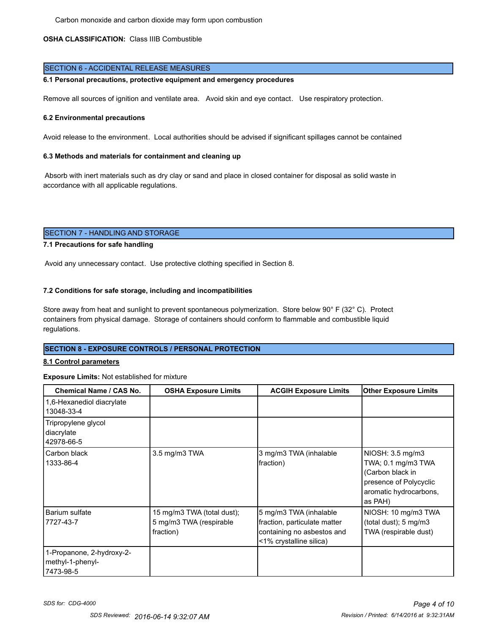# **OSHA CLASSIFICATION:** Class IIIB Combustible

# SECTION 6 - ACCIDENTAL RELEASE MEASURES

### **6.1 Personal precautions, protective equipment and emergency procedures**

Remove all sources of ignition and ventilate area. Avoid skin and eye contact. Use respiratory protection.

### **6.2 Environmental precautions**

Avoid release to the environment. Local authorities should be advised if significant spillages cannot be contained

# **6.3 Methods and materials for containment and cleaning up**

 Absorb with inert materials such as dry clay or sand and place in closed container for disposal as solid waste in accordance with all applicable regulations.

# SECTION 7 - HANDLING AND STORAGE

# **7.1 Precautions for safe handling**

Avoid any unnecessary contact. Use protective clothing specified in Section 8.

# **7.2 Conditions for safe storage, including and incompatibilities**

Store away from heat and sunlight to prevent spontaneous polymerization. Store below 90° F (32° C). Protect containers from physical damage. Storage of containers should conform to flammable and combustible liquid regulations.

# **SECTION 8 - EXPOSURE CONTROLS / PERSONAL PROTECTION**

# **8.1 Control parameters**

# **Exposure Limits:** Not established for mixture

| <b>Chemical Name / CAS No.</b>                             | <b>OSHA Exposure Limits</b>                                        | <b>ACGIH Exposure Limits</b>                                                                                    | <b>Other Exposure Limits</b>                                                                                              |
|------------------------------------------------------------|--------------------------------------------------------------------|-----------------------------------------------------------------------------------------------------------------|---------------------------------------------------------------------------------------------------------------------------|
| 1,6-Hexanediol diacrylate<br>13048-33-4                    |                                                                    |                                                                                                                 |                                                                                                                           |
| Tripropylene glycol<br>diacrylate<br>42978-66-5            |                                                                    |                                                                                                                 |                                                                                                                           |
| Carbon black<br>1333-86-4                                  | 3.5 mg/m3 TWA                                                      | 3 mg/m3 TWA (inhalable<br>(fraction)                                                                            | NIOSH: 3.5 mg/m3<br>TWA; 0.1 mg/m3 TWA<br>(Carbon black in<br>presence of Polycyclic<br>aromatic hydrocarbons,<br>as PAH) |
| Barium sulfate<br>7727-43-7                                | 15 mg/m3 TWA (total dust);<br>5 mg/m3 TWA (respirable<br>fraction) | 5 mg/m3 TWA (inhalable<br>fraction, particulate matter<br>containing no asbestos and<br><1% crystalline silica) | NIOSH: 10 mg/m3 TWA<br>(total dust); $5 \text{ mg/m}$ 3<br>TWA (respirable dust)                                          |
| 1-Propanone, 2-hydroxy-2-<br>methyl-1-phenyl-<br>7473-98-5 |                                                                    |                                                                                                                 |                                                                                                                           |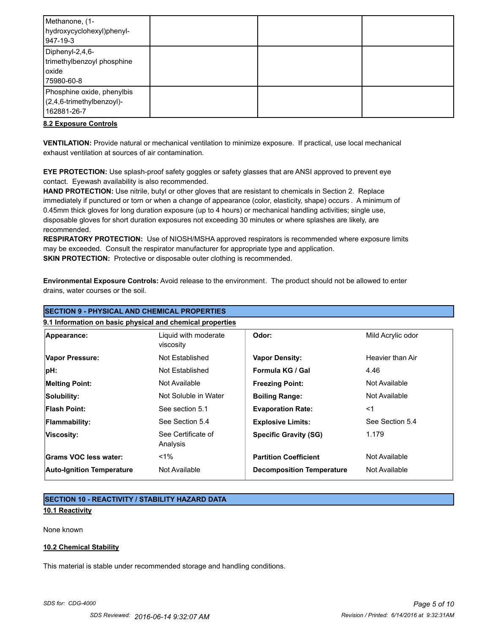| Methanone, (1-<br>hydroxycyclohexyl)phenyl-<br>947-19-3                   |  |  |
|---------------------------------------------------------------------------|--|--|
| Diphenyl-2,4,6-<br>trimethylbenzoyl phosphine<br>oxide<br>175980-60-8     |  |  |
| Phosphine oxide, phenylbis<br>$(2,4,6$ -trimethylbenzoyl)-<br>162881-26-7 |  |  |

# **8.2 Exposure Controls**

**VENTILATION:** Provide natural or mechanical ventilation to minimize exposure. If practical, use local mechanical exhaust ventilation at sources of air contamination.

**EYE PROTECTION:** Use splash-proof safety goggles or safety glasses that are ANSI approved to prevent eye contact. Eyewash availability is also recommended.

**HAND PROTECTION:** Use nitrile, butyl or other gloves that are resistant to chemicals in Section 2. Replace immediately if punctured or torn or when a change of appearance (color, elasticity, shape) occurs . A minimum of 0.45mm thick gloves for long duration exposure (up to 4 hours) or mechanical handling activities; single use, disposable gloves for short duration exposures not exceeding 30 minutes or where splashes are likely, are recommended.

**RESPIRATORY PROTECTION:** Use of NIOSH/MSHA approved respirators is recommended where exposure limits may be exceeded. Consult the respirator manufacturer for appropriate type and application. **SKIN PROTECTION:** Protective or disposable outer clothing is recommended.

**Environmental Exposure Controls:** Avoid release to the environment. The product should not be allowed to enter drains, water courses or the soil.

| <b>ISECTION 9 - PHYSICAL AND CHEMICAL PROPERTIES</b><br>9.1 Information on basic physical and chemical properties |                                |                                  |                  |  |
|-------------------------------------------------------------------------------------------------------------------|--------------------------------|----------------------------------|------------------|--|
|                                                                                                                   |                                |                                  |                  |  |
| Vapor Pressure:                                                                                                   | Not Established                | <b>Vapor Density:</b>            | Heavier than Air |  |
| pH:                                                                                                               | Not Established                | Formula KG / Gal                 | 4.46             |  |
| <b>Melting Point:</b>                                                                                             | Not Available                  | <b>Freezing Point:</b>           | Not Available    |  |
| Solubility:                                                                                                       | Not Soluble in Water           | <b>Boiling Range:</b>            | Not Available    |  |
| <b>Flash Point:</b>                                                                                               | See section 5.1                | <b>Evaporation Rate:</b>         | $<$ 1            |  |
| <b>Flammability:</b>                                                                                              | See Section 5.4                | <b>Explosive Limits:</b>         | See Section 5.4  |  |
| Viscosity:                                                                                                        | See Certificate of<br>Analysis | <b>Specific Gravity (SG)</b>     | 1.179            |  |
| Grams VOC less water:                                                                                             | $<$ 1%                         | <b>Partition Coefficient</b>     | Not Available    |  |
| <b>Auto-Ignition Temperature</b>                                                                                  | Not Available                  | <b>Decomposition Temperature</b> | Not Available    |  |

# **SECTION 10 - REACTIVITY / STABILITY HAZARD DATA**

# **10.1 Reactivity**

None known

# **10.2 Chemical Stability**

This material is stable under recommended storage and handling conditions.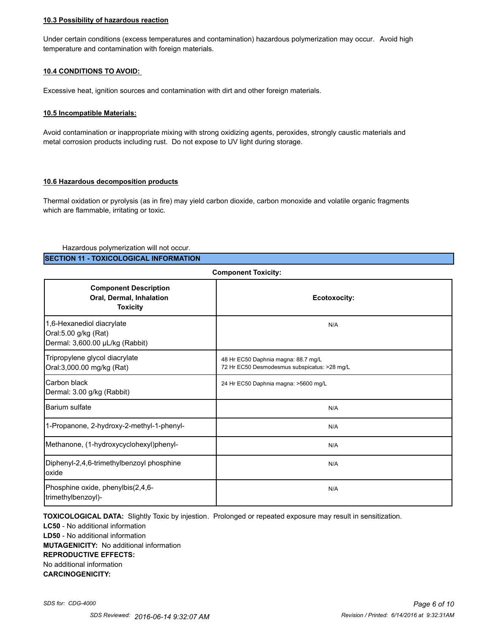### **10.3 Possibility of hazardous reaction**

Under certain conditions (excess temperatures and contamination) hazardous polymerization may occur. Avoid high temperature and contamination with foreign materials.

# **10.4 CONDITIONS TO AVOID:**

Excessive heat, ignition sources and contamination with dirt and other foreign materials.

### **10.5 Incompatible Materials:**

Avoid contamination or inappropriate mixing with strong oxidizing agents, peroxides, strongly caustic materials and metal corrosion products including rust. Do not expose to UV light during storage.

### **10.6 Hazardous decomposition products**

Thermal oxidation or pyrolysis (as in fire) may yield carbon dioxide, carbon monoxide and volatile organic fragments which are flammable, irritating or toxic.

# Hazardous polymerization will not occur.

**SECTION 11 - TOXICOLOGICAL INFORMATION**

# **Component Toxicity:**

| <b>Component Description</b><br>Oral, Dermal, Inhalation<br><b>Toxicity</b>          | Ecotoxocity:                                                                        |
|--------------------------------------------------------------------------------------|-------------------------------------------------------------------------------------|
| 1,6-Hexanediol diacrylate<br>Oral:5.00 g/kg (Rat)<br>Dermal: 3,600.00 µL/kg (Rabbit) | N/A                                                                                 |
| Tripropylene glycol diacrylate<br>Oral:3,000.00 mg/kg (Rat)                          | 48 Hr EC50 Daphnia magna: 88.7 mg/L<br>72 Hr EC50 Desmodesmus subspicatus: >28 mg/L |
| Carbon black<br>Dermal: 3.00 g/kg (Rabbit)                                           | 24 Hr EC50 Daphnia magna: >5600 mg/L                                                |
| Barium sulfate                                                                       | N/A                                                                                 |
| 1-Propanone, 2-hydroxy-2-methyl-1-phenyl-                                            | N/A                                                                                 |
| Methanone, (1-hydroxycyclohexyl)phenyl-                                              | N/A                                                                                 |
| Diphenyl-2,4,6-trimethylbenzoyl phosphine<br>loxide                                  | N/A                                                                                 |
| Phosphine oxide, phenylbis(2,4,6-<br>trimethylbenzoyl)-                              | N/A                                                                                 |

**TOXICOLOGICAL DATA:** Slightly Toxic by injestion. Prolonged or repeated exposure may result in sensitization. **LC50** - No additional information **LD50** - No additional information **MUTAGENICITY:** No additional information **REPRODUCTIVE EFFECTS:** No additional information **CARCINOGENICITY:**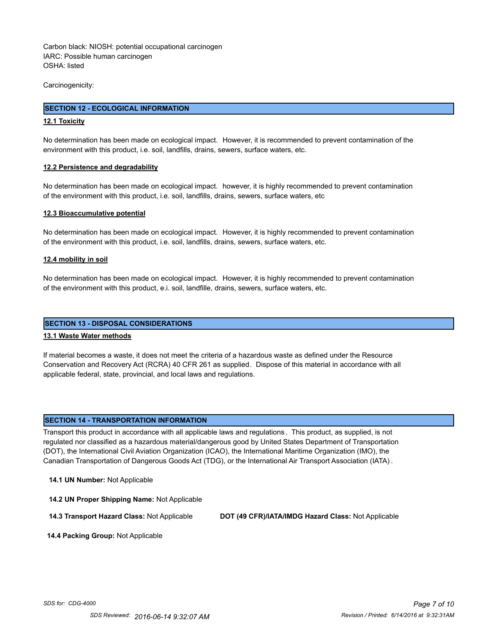Carbon black: NIOSH: potential occupational carcinogen IARC: Possible human carcinogen OSHA: listed

Carcinogenicity:

# **SECTION 12 - ECOLOGICAL INFORMATION**

# **12.1 Toxicity**

No determination has been made on ecological impact. However, it is recommended to prevent contamination of the environment with this product, i.e. soil, landfills, drains, sewers, surface waters, etc.

### **12.2 Persistence and degradability**

No determination has been made on ecological impact. however, it is highly recommended to prevent contamination of the environment with this product, i.e. soil, landfills, drains, sewers, surface waters, etc

#### **12.3 Bioaccumulative potential**

No determination has been made on ecological impact. However, it is highly recommended to prevent contamination of the environment with this product, i.e. soil, landfills, drains, sewers, surface waters, etc.

### **12.4 mobility in soil**

No determination has been made on ecological impact. However, it is highly recommended to prevent contamination of the environment with this product, e.i. soil, landfille, drains, sewers, surface waters, etc.

# **SECTION 13 - DISPOSAL CONSIDERATIONS**

#### **13.1 Waste Water methods**

If material becomes a waste, it does not meet the criteria of a hazardous waste as defined under the Resource Conservation and Recovery Act (RCRA) 40 CFR 261 as supplied. Dispose of this material in accordance with all applicable federal, state, provincial, and local laws and regulations.

# **SECTION 14 - TRANSPORTATION INFORMATION**

Transport this product in accordance with all applicable laws and regulations . This product, as supplied, is not regulated nor classified as a hazardous material/dangerous good by United States Department of Transportation (DOT), the International Civil Aviation Organization (ICAO), the International Maritime Organization (IMO), the Canadian Transportation of Dangerous Goods Act (TDG), or the International Air Transport Association (IATA) .

**14.1 UN Number:** Not Applicable

**14.2 UN Proper Shipping Name:** Not Applicable

**14.3 Transport Hazard Class:** Not Applicable **DOT (49 CFR)/IATA/IMDG Hazard Class:** Not Applicable

 **14.4 Packing Group:** Not Applicable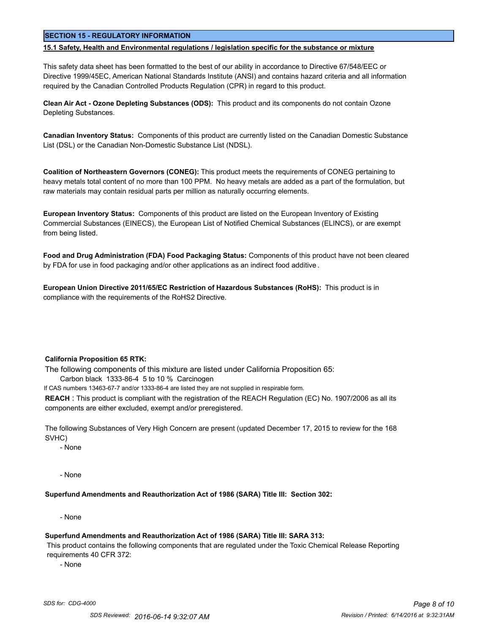### **SECTION 15 - REGULATORY INFORMATION**

#### **15.1 Safety, Health and Environmental regulations / legislation specific for the substance or mixture**

This safety data sheet has been formatted to the best of our ability in accordance to Directive 67/548/EEC or Directive 1999/45EC, American National Standards Institute (ANSI) and contains hazard criteria and all information required by the Canadian Controlled Products Regulation (CPR) in regard to this product.

**Clean Air Act - Ozone Depleting Substances (ODS):** This product and its components do not contain Ozone Depleting Substances.

**Canadian Inventory Status:** Components of this product are currently listed on the Canadian Domestic Substance List (DSL) or the Canadian Non-Domestic Substance List (NDSL).

**Coalition of Northeastern Governors (CONEG):** This product meets the requirements of CONEG pertaining to heavy metals total content of no more than 100 PPM. No heavy metals are added as a part of the formulation, but raw materials may contain residual parts per million as naturally occurring elements.

**European Inventory Status:** Components of this product are listed on the European Inventory of Existing Commercial Substances (EINECS), the European List of Notified Chemical Substances (ELINCS), or are exempt from being listed.

**Food and Drug Administration (FDA) Food Packaging Status:** Components of this product have not been cleared by FDA for use in food packaging and/or other applications as an indirect food additive .

**European Union Directive 2011/65/EC Restriction of Hazardous Substances (RoHS):** This product is in compliance with the requirements of the RoHS2 Directive.

#### **California Proposition 65 RTK:**

The following components of this mixture are listed under California Proposition 65:

Carbon black 1333-86-4 5 to 10 % Carcinogen

If CAS numbers 13463-67-7 and/or 1333-86-4 are listed they are not supplied in respirable form.

**REACH** : This product is compliant with the registration of the REACH Regulation (EC) No. 1907/2006 as all its components are either excluded, exempt and/or preregistered.

The following Substances of Very High Concern are present (updated December 17, 2015 to review for the 168 SVHC)

- None

- None

**Superfund Amendments and Reauthorization Act of 1986 (SARA) Title III: Section 302:**

- None

#### **Superfund Amendments and Reauthorization Act of 1986 (SARA) Title III: SARA 313:**

 This product contains the following components that are regulated under the Toxic Chemical Release Reporting requirements 40 CFR 372:

- None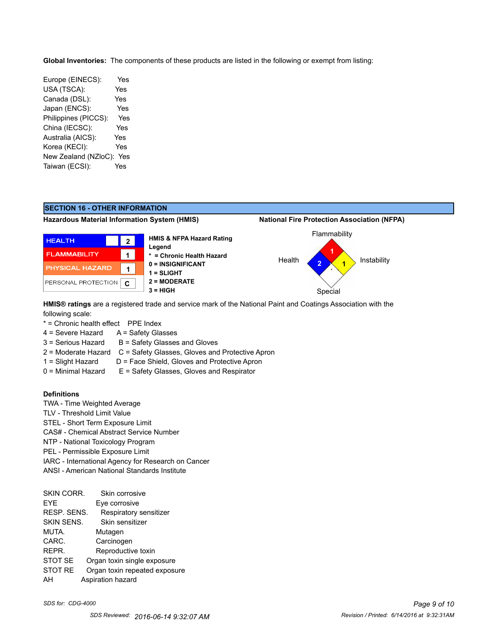**Global Inventories:** The components of these products are listed in the following or exempt from listing:

Europe (EINECS): Yes USA (TSCA): Yes Canada (DSL): Yes Japan (ENCS): Yes Philippines (PICCS): Yes China (IECSC): Yes Australia (AICS): Yes Korea (KECI): Yes New Zealand (NZloC): Yes Taiwan (ECSI): Yes

# **SECTION 16 - OTHER INFORMATION**

**Hazardous Material Information System (HMIS) National Fire Protection Association (NFPA)**



Flammability **1**



**HMIS® ratings** are a registered trade and service mark of the National Paint and Coatings Association with the following scale:

- \* = Chronic health effect PPE Index
- 4 = Severe Hazard A = Safety Glasses
- $3 =$  Serious Hazard  $B =$  Safety Glasses and Gloves
- 2 = Moderate Hazard C = Safety Glasses, Gloves and Protective Apron
- 1 = Slight Hazard D = Face Shield, Gloves and Protective Apron
	-
- 0 = Minimal Hazard E = Safety Glasses, Gloves and Respirator

# **Definitions**

- TWA Time Weighted Average
- TLV Threshold Limit Value
- STEL Short Term Exposure Limit
- CAS# Chemical Abstract Service Number
- NTP National Toxicology Program
- PEL Permissible Exposure Limit
- IARC International Agency for Research on Cancer
- ANSI American National Standards Institute

| <b>SKIN CORR.</b> | Skin corrosive                |
|-------------------|-------------------------------|
| <b>EYE</b>        | Eye corrosive                 |
| RESP. SENS.       | Respiratory sensitizer        |
| <b>SKIN SENS.</b> | Skin sensitizer               |
| MUTA.             | Mutagen                       |
| CARC.             | Carcinogen                    |
| REPR.             | Reproductive toxin            |
| STOT SE           | Organ toxin single exposure   |
| STOT RE           | Organ toxin repeated exposure |
| AH                | Aspiration hazard             |